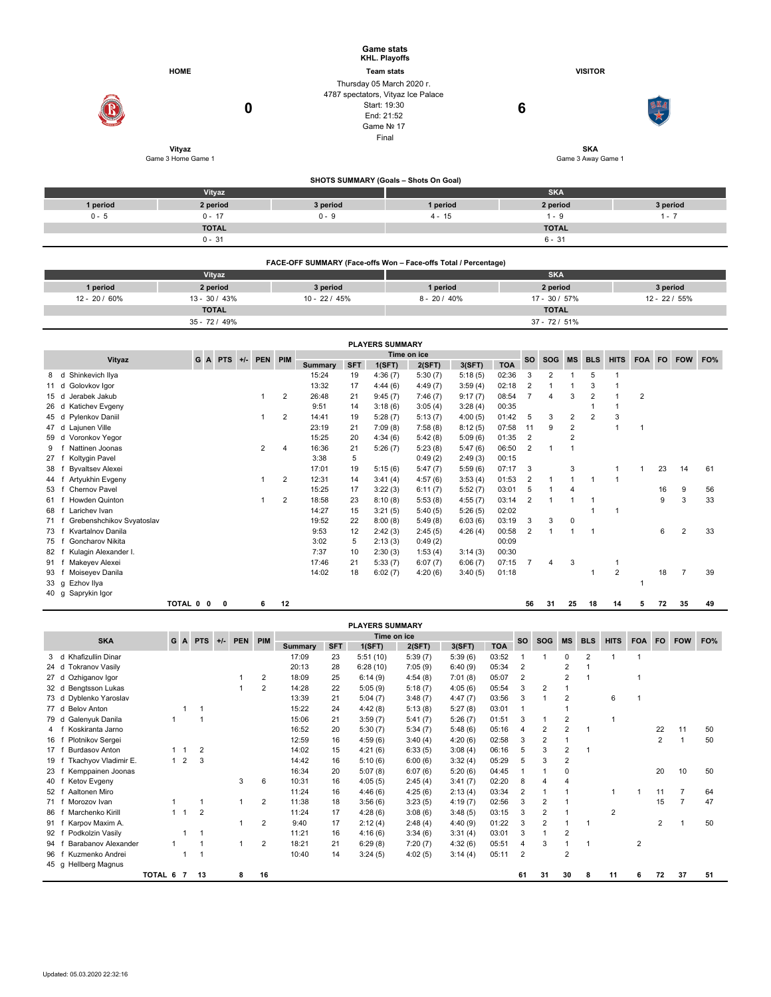|               |                              |                 | <b>Game stats</b><br><b>KHL. Playoffs</b>                                                                            |                                  |                                   |  |  |  |  |  |  |  |
|---------------|------------------------------|-----------------|----------------------------------------------------------------------------------------------------------------------|----------------------------------|-----------------------------------|--|--|--|--|--|--|--|
|               | <b>HOME</b>                  |                 | <b>Team stats</b>                                                                                                    | <b>VISITOR</b>                   |                                   |  |  |  |  |  |  |  |
|               | 0                            |                 | Thursday 05 March 2020 r.<br>4787 spectators, Vityaz Ice Palace<br>Start: 19:30<br>End: 21:52<br>Game Nº 17<br>Final | $6\phantom{1}6$                  |                                   |  |  |  |  |  |  |  |
|               | Vityaz<br>Game 3 Home Game 1 |                 |                                                                                                                      | <b>SKA</b><br>Game 3 Away Game 1 |                                   |  |  |  |  |  |  |  |
|               |                              |                 |                                                                                                                      |                                  |                                   |  |  |  |  |  |  |  |
|               |                              |                 | SHOTS SUMMARY (Goals - Shots On Goal)                                                                                |                                  |                                   |  |  |  |  |  |  |  |
|               | Vityaz                       |                 |                                                                                                                      | <b>SKA</b>                       |                                   |  |  |  |  |  |  |  |
| 1 period      | 2 period                     | 3 period        | 1 period                                                                                                             | 2 period                         | 3 period                          |  |  |  |  |  |  |  |
| $0 - 5$       | $0 - 17$                     | $0 - 9$         | $4 - 15$                                                                                                             | $1 - 9$                          | $1 - 7$                           |  |  |  |  |  |  |  |
|               | <b>TOTAL</b>                 |                 |                                                                                                                      | <b>TOTAL</b>                     |                                   |  |  |  |  |  |  |  |
|               | $0 - 31$                     |                 |                                                                                                                      | $6 - 31$                         |                                   |  |  |  |  |  |  |  |
|               |                              |                 | FACE-OFF SUMMARY (Face-offs Won - Face-offs Total / Percentage)                                                      |                                  |                                   |  |  |  |  |  |  |  |
|               | Vityaz                       |                 |                                                                                                                      | <b>SKA</b>                       |                                   |  |  |  |  |  |  |  |
| 1 period      | 2 period                     | 3 period        | 1 period                                                                                                             | 2 period                         | 3 period                          |  |  |  |  |  |  |  |
| 12 - 20 / 60% | $13 - 30 / 43%$              | $10 - 22 / 45%$ | $8 - 20 / 40\%$                                                                                                      | 17 - 30 / 57%                    | 12 - 22 / 55%                     |  |  |  |  |  |  |  |
|               | <b>TOTAL</b>                 |                 |                                                                                                                      | <b>TOTAL</b>                     |                                   |  |  |  |  |  |  |  |
|               | 35 - 72 / 49%                |                 |                                                                                                                      | $37 - 72 / 51%$                  |                                   |  |  |  |  |  |  |  |
| Vitvaz        | G A PTS +/- PEN PIM          |                 | <b>PLAYERS SUMMARY</b><br>Time on ice                                                                                |                                  | SO SOG MS BLS HITS FOA FO FOW FO% |  |  |  |  |  |  |  |
|               |                              |                 |                                                                                                                      |                                  |                                   |  |  |  |  |  |  |  |

|      | Vityaz                    |           | G A PTS | $+/-$ | <b>PEN</b> | PIM            | Time on ice    |            |         |         |         |            | <b>SO</b>      | <b>SOG</b>     | <b>MS</b>      | <b>BLS</b>     | <b>HITS</b>    | FOA FO |    | <b>FOW</b>     | FO% |
|------|---------------------------|-----------|---------|-------|------------|----------------|----------------|------------|---------|---------|---------|------------|----------------|----------------|----------------|----------------|----------------|--------|----|----------------|-----|
|      |                           |           |         |       |            |                | <b>Summary</b> | <b>SFT</b> | 1(SFT)  | 2(SFT)  | 3(SFT)  | <b>TOA</b> |                |                |                |                |                |        |    |                |     |
| 8    | Shinkevich Ilya<br>d      |           |         |       |            |                | 15:24          | 19         | 4:36(7) | 5:30(7) | 5:18(5) | 02:36      | 3              | $\overline{2}$ |                | 5              |                |        |    |                |     |
| 11 d | Golovkov Igor             |           |         |       |            |                | 13:32          | 17         | 4:44(6) | 4:49(7) | 3:59(4) | 02:18      | 2              |                |                | 3              |                |        |    |                |     |
| 15 d | Jerabek Jakub             |           |         |       |            | 2              | 26:48          | 21         | 9:45(7) | 7:46(7) | 9:17(7) | 08:54      |                | 4              | 3              | $\overline{2}$ |                | 2      |    |                |     |
| 26   | Katichev Evgeny<br>d      |           |         |       |            |                | 9:51           | 14         | 3:18(6) | 3:05(4) | 3:28(4) | 00:35      |                |                |                |                |                |        |    |                |     |
| 45 d | Pylenkov Daniil           |           |         |       |            | 2              | 14:41          | 19         | 5:28(7) | 5:13(7) | 4:00(5) | 01:42      | 5              | 3              | 2              | $\overline{2}$ | 3              |        |    |                |     |
| 47 d | Lajunen Ville             |           |         |       |            |                | 23:19          | 21         | 7:09(8) | 7:58(8) | 8:12(5) | 07:58      | 11             | 9              | 2              |                |                | 1      |    |                |     |
| 59 d | Voronkov Yegor            |           |         |       |            |                | 15:25          | 20         | 4:34(6) | 5:42(8) | 5:09(6) | 01:35      | 2              |                | $\overline{2}$ |                |                |        |    |                |     |
| 9    | Nattinen Joonas           |           |         |       | 2          | 4              | 16:36          | 21         | 5:26(7) | 5:23(8) | 5:47(6) | 06:50      | 2              |                |                |                |                |        |    |                |     |
| 27   | Koltygin Pavel            |           |         |       |            |                | 3:38           | 5          |         | 0:49(2) | 2:49(3) | 00:15      |                |                |                |                |                |        |    |                |     |
| 38   | <b>Byvaltsev Alexei</b>   |           |         |       |            |                | 17:01          | 19         | 5:15(6) | 5:47(7) | 5:59(6) | 07:17      | 3              |                | 3              |                |                |        | 23 | 14             | 61  |
| 44   | Artyukhin Evgeny          |           |         |       |            | 2              | 12:31          | 14         | 3:41(4) | 4:57(6) | 3:53(4) | 01:53      | $\overline{2}$ |                |                |                |                |        |    |                |     |
| 53   | Chernov Pavel             |           |         |       |            |                | 15:25          | 17         | 3:22(3) | 6:11(7) | 5:52(7) | 03:01      | 5              |                | 4              |                |                |        | 16 | 9              | 56  |
| 61   | Howden Quinton            |           |         |       |            | $\overline{2}$ | 18:58          | 23         | 8:10(8) | 5:53(8) | 4:55(7) | 03:14      | 2              |                |                |                |                |        | 9  |                | 33  |
| 68   | Larichev Ivan             |           |         |       |            |                | 14:27          | 15         | 3:21(5) | 5:40(5) | 5:26(5) | 02:02      |                |                |                |                |                |        |    |                |     |
| 71   | Grebenshchikov Svyatoslav |           |         |       |            |                | 19:52          | 22         | 8:00(8) | 5:49(8) | 6:03(6) | 03:19      | 3              | 3              | 0              |                |                |        |    |                |     |
| 73   | Kvartalnov Danila         |           |         |       |            |                | 9:53           | 12         | 2:42(3) | 2:45(5) | 4:26(4) | 00:58      | $\overline{2}$ |                |                |                |                |        | 6  | $\overline{2}$ | 33  |
| 75   | <b>Goncharov Nikita</b>   |           |         |       |            |                | 3:02           | 5          | 2:13(3) | 0:49(2) |         | 00:09      |                |                |                |                |                |        |    |                |     |
| 82   | Kulagin Alexander I.      |           |         |       |            |                | 7:37           | 10         | 2:30(3) | 1:53(4) | 3:14(3) | 00:30      |                |                |                |                |                |        |    |                |     |
| 91   | Makeyev Alexei            |           |         |       |            |                | 17:46          | 21         | 5:33(7) | 6:07(7) | 6:06(7) | 07:15      | $\overline{7}$ | 4              | 3              |                |                |        |    |                |     |
| 93   | Moiseyev Danila           |           |         |       |            |                | 14:02          | 18         | 6:02(7) | 4:20(6) | 3:40(5) | 01:18      |                |                |                |                | $\overline{2}$ |        | 18 |                | 39  |
| 33 g | Ezhov Ilya                |           |         |       |            |                |                |            |         |         |         |            |                |                |                |                |                |        |    |                |     |
| 40 g | Saprykin Igor             |           |         |       |            |                |                |            |         |         |         |            |                |                |                |                |                |        |    |                |     |
|      |                           | TOTAL 0 0 | 0       |       | 6          | 12             |                |            |         |         |         |            | 56             | 31             | 25             | 18             | 14             | 5      | 72 | 35             | 49  |

|                                           | <b>PLAYERS SUMMARY</b> |              |        |                |  |              |                |             |            |          |         |         |            |                |                |                |                |                |            |                |            |     |
|-------------------------------------------|------------------------|--------------|--------|----------------|--|--------------|----------------|-------------|------------|----------|---------|---------|------------|----------------|----------------|----------------|----------------|----------------|------------|----------------|------------|-----|
| <b>SKA</b><br>G A PTS<br>PEN PIM<br>$+/-$ |                        |              |        |                |  |              |                | Time on ice |            |          |         |         |            | <b>SO</b>      | <b>SOG</b>     | <b>MS</b>      | <b>BLS</b>     | <b>HITS</b>    | <b>FOA</b> | FO.            | <b>FOW</b> | FO% |
|                                           |                        |              |        |                |  |              |                | Summary     | <b>SFT</b> | 1(SFT)   | 2(SFT)  | 3(SFT)  | <b>TOA</b> |                |                |                |                |                |            |                |            |     |
| 3 <sub>d</sub>                            | Khafizullin Dinar      |              |        |                |  |              |                | 17:09       | 23         | 5:51(10) | 5:39(7) | 5:39(6) | 03:52      |                |                | $\Omega$       | $\overline{2}$ |                | 1          |                |            |     |
| 24 d                                      | <b>Tokranov Vasily</b> |              |        |                |  |              |                | 20:13       | 28         | 6:28(10) | 7:05(9) | 6:40(9) | 05:34      | $\overline{2}$ |                | 2              |                |                |            |                |            |     |
| 27 <sub>d</sub>                           | Ozhiganov Igor         |              |        |                |  |              | 2              | 18:09       | 25         | 6:14(9)  | 4:54(8) | 7:01(8) | 05:07      | 2              |                | $\overline{2}$ |                |                |            |                |            |     |
| 32 d                                      | Bengtsson Lukas        |              |        |                |  |              | $\overline{2}$ | 14:28       | 22         | 5:05(9)  | 5:18(7) | 4:05(6) | 05:54      | 3              | 2              |                |                |                |            |                |            |     |
| 73 d                                      | Dyblenko Yaroslav      |              |        |                |  |              |                | 13:39       | 21         | 5:04(7)  | 3:48(7) | 4:47(7) | 03:56      | 3              |                | 2              |                | 6              | 1          |                |            |     |
| 77 d                                      | <b>Belov Anton</b>     |              |        |                |  |              |                | 15:22       | 24         | 4:42(8)  | 5:13(8) | 5:27(8) | 03:01      |                |                |                |                |                |            |                |            |     |
| 79 d                                      | Galenyuk Danila        |              |        |                |  |              |                | 15:06       | 21         | 3:59(7)  | 5:41(7) | 5:26(7) | 01:51      | 3              |                | 2              |                |                |            |                |            |     |
| 4 f                                       | Koskiranta Jarno       |              |        |                |  |              |                | 16:52       | 20         | 5:30(7)  | 5:34(7) | 5:48(6) | 05:16      | 4              | 2              | 2              |                |                |            | 22             | 11         | 50  |
| 16                                        | Plotnikov Sergei       |              |        |                |  |              |                | 12:59       | 16         | 4:59(6)  | 3:40(4) | 4:20(6) | 02:58      | 3              | 2              |                |                |                |            | $\overline{2}$ |            | 50  |
| 17                                        | <b>Burdasov Anton</b>  |              |        | $\overline{2}$ |  |              |                | 14:02       | 15         | 4:21(6)  | 6:33(5) | 3:08(4) | 06:16      | 5              | 3              | $\overline{2}$ |                |                |            |                |            |     |
| 19                                        | Tkachyov Vladimir E.   |              | 2<br>1 | 3              |  |              |                | 14:42       | 16         | 5:10(6)  | 6:00(6) | 3:32(4) | 05:29      | 5              | 3              | $\overline{2}$ |                |                |            |                |            |     |
| 23                                        | Kemppainen Joonas      |              |        |                |  |              |                | 16:34       | 20         | 5:07(8)  | 6:07(6) | 5:20(6) | 04:45      |                |                |                |                |                |            | 20             | 10         | 50  |
| 40                                        | Ketov Evgeny           |              |        |                |  | 3            | 6              | 10:31       | 16         | 4:05(5)  | 2:45(4) | 3:41(7) | 02:20      | 8              |                |                |                |                |            |                |            |     |
| 52                                        | Aaltonen Miro          |              |        |                |  |              |                | 11:24       | 16         | 4:46(6)  | 4:25(6) | 2:13(4) | 03:34      | $\overline{2}$ |                |                |                | 1              |            | 11             |            | 64  |
| 71 f                                      | Morozov Ivan           |              |        |                |  | $\mathbf{1}$ | $\overline{2}$ | 11:38       | 18         | 3:56(6)  | 3:23(5) | 4:19(7) | 02:56      | 3              | 2              |                |                |                |            | 15             | 7          | 47  |
| 86                                        | Marchenko Kirill       | $\mathbf{1}$ |        | $\overline{2}$ |  |              |                | 11:24       | 17         | 4:28(6)  | 3:08(6) | 3:48(5) | 03:15      | 3              | 2              |                |                | $\overline{2}$ |            |                |            |     |
| 91                                        | Karpov Maxim A.        |              |        |                |  |              | $\overline{2}$ | 9:40        | 17         | 2:12(4)  | 2:48(4) | 4:40(9) | 01:22      | 3              | $\overline{2}$ |                |                |                |            | $\overline{2}$ |            | 50  |
| 92                                        | Podkolzin Vasilv       |              |        |                |  |              |                | 11:21       | 16         | 4:16(6)  | 3:34(6) | 3:31(4) | 03:01      | 3              |                | $\overline{2}$ |                |                |            |                |            |     |
| 94                                        | Barabanov Alexander    |              |        |                |  |              | $\overline{2}$ | 18:21       | 21         | 6:29(8)  | 7:20(7) | 4:32(6) | 05:51      | 4              | 3              |                |                |                | 2          |                |            |     |
| 96                                        | Kuzmenko Andrei        |              |        |                |  |              |                | 10:40       | 14         | 3:24(5)  | 4:02(5) | 3:14(4) | 05:11      | $\overline{2}$ |                | $\overline{2}$ |                |                |            |                |            |     |
|                                           | 45 g Hellberg Magnus   |              |        |                |  |              |                |             |            |          |         |         |            |                |                |                |                |                |            |                |            |     |
|                                           |                        | TOTAL 6 7    |        | 13             |  | 8            | 16             |             |            |          |         |         |            | 61             | 31             | 30             | 8              | 11             | 6          | 72             | 37         | 51  |